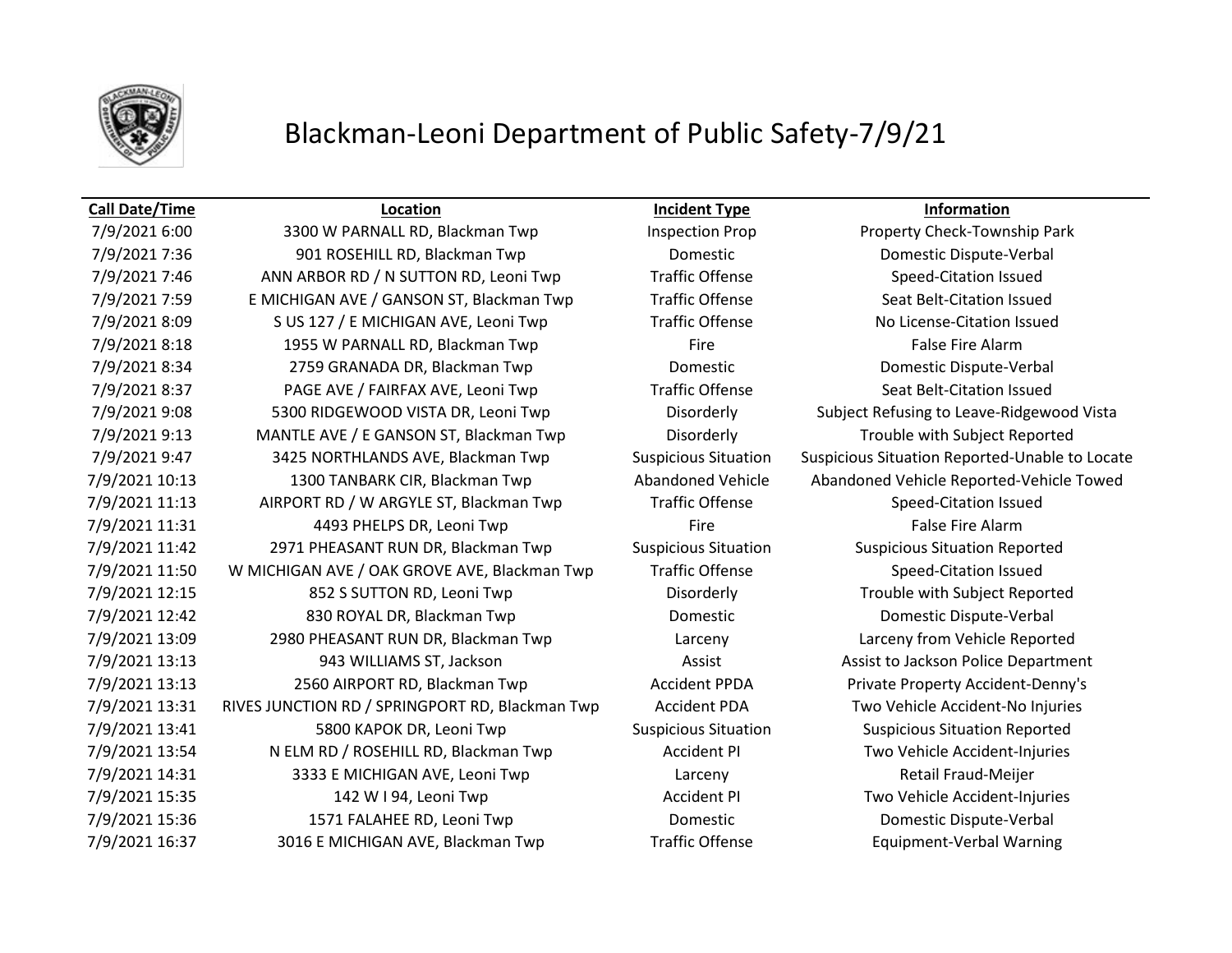

# Blackman-Leoni Department of Public Safety-7/9/21

## **Call Date/Time Location Incident Type Information**

7/9/2021 6:00 3300 W PARNALL RD, Blackman Twp Inspection Prop Property Check-Township Park 7/9/2021 7:36 901 ROSEHILL RD, Blackman Twp Domestic Domestic Dispute-Verbal 7/9/2021 7:46 ANN ARBOR RD / N SUTTON RD, Leoni Twp Traffic Offense Speed-Citation Issued 7/9/2021 7:59 E MICHIGAN AVE / GANSON ST, Blackman Twp Traffic Offense Seat Belt-Citation Issued 7/9/2021 8:09 S US 127 / E MICHIGAN AVE, Leoni Twp Traffic Offense No License-Citation Issued 7/9/2021 8:18 1955 W PARNALL RD, Blackman Twp Fire Fire Fire False Fire Alarm 7/9/2021 8:34 2759 GRANADA DR, Blackman Twp Domestic Domestic Dispute-Verbal 7/9/2021 8:37 PAGE AVE / FAIRFAX AVE, Leoni Twp Traffic Offense Seat Belt-Citation Issued 7/9/2021 9:08 5300 RIDGEWOOD VISTA DR, Leoni Twp Disorderly Subject Refusing to Leave-Ridgewood Vista 7/9/2021 9:13 MANTLE AVE / E GANSON ST, Blackman Twp Disorderly Trouble with Subject Reported 7/9/2021 9:47 3425 NORTHLANDS AVE, Blackman Twp Suspicious Situation Suspicious Situation Reported-Unable to Locate 7/9/2021 10:13 1300 TANBARK CIR, Blackman Twp Abandoned Vehicle Abandoned Vehicle Reported-Vehicle Towed 7/9/2021 11:13 AIRPORT RD / W ARGYLE ST, Blackman Twp Traffic Offense Speed-Citation Issued 7/9/2021 11:31 **4493 PHELPS DR, Leoni Twp** Fire Fire Fire False Fire Alarm 7/9/2021 11:42 2971 PHEASANT RUN DR, Blackman Twp Suspicious Situation Suspicious Situation Reported 7/9/2021 11:50 W MICHIGAN AVE / OAK GROVE AVE, Blackman Twp Traffic Offense Speed-Citation Issued 7/9/2021 12:15 852 S SUTTON RD, Leoni Twp Disorderly Trouble with Subject Reported 7/9/2021 12:42 830 ROYAL DR, Blackman Twp Domestic Domestic Dispute-Verbal 7/9/2021 13:09 2980 PHEASANT RUN DR, Blackman Twp Larceny Larceny from Vehicle Reported 7/9/2021 13:13 943 WILLIAMS ST, Jackson Assist Assist Assist to Jackson Police Department 7/9/2021 13:13 2560 AIRPORT RD, Blackman Twp Accident PPDA Private Property Accident-Denny's 7/9/2021 13:31 RIVES JUNCTION RD / SPRINGPORT RD, Blackman Twp Accident PDA Two Vehicle Accident-No Injuries 7/9/2021 13:41 5800 KAPOK DR, Leoni Twp Suspicious Situation Suspicious Situation Reported 7/9/2021 13:54 N ELM RD / ROSEHILL RD, Blackman Twp Accident PI Two Vehicle Accident-Injuries 7/9/2021 14:31 3333 E MICHIGAN AVE, Leoni Twp Larceny Retail Fraud-Meijer 7/9/2021 15:35 142 W I 94, Leoni Twp Accident PI Two Vehicle Accident-Injuries 7/9/2021 15:36 1571 FALAHEE RD, Leoni Twp Domestic Domestic Dispute-Verbal 7/9/2021 16:37 3016 E MICHIGAN AVE, Blackman Twp Traffic Offense Equipment-Verbal Warning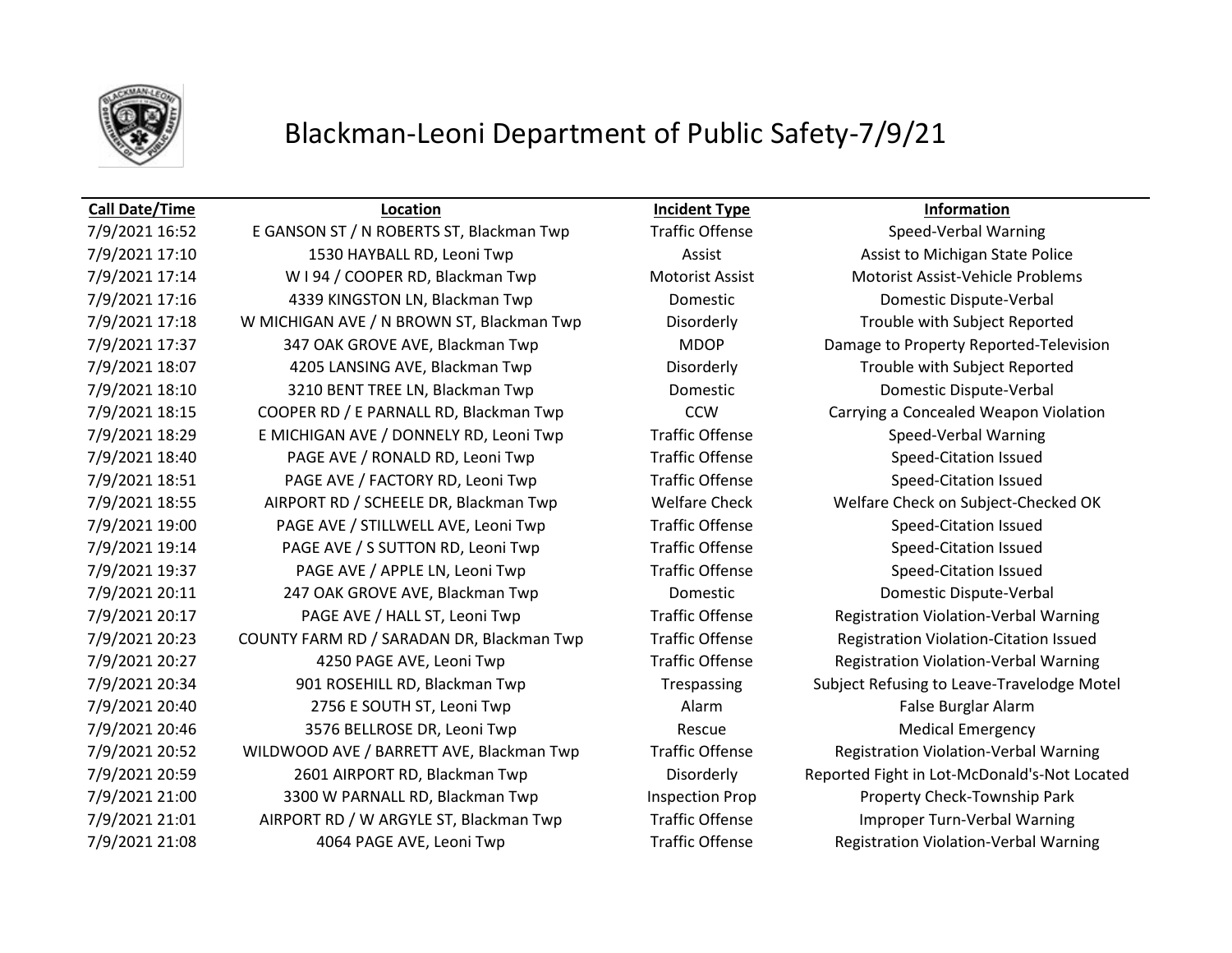

# Blackman-Leoni Department of Public Safety-7/9/21

### **Call Date/Time Location Incident Type Information**

7/9/2021 16:52 E GANSON ST / N ROBERTS ST, Blackman Twp Traffic Offense Speed-Verbal Warning 7/9/2021 17:10 1530 HAYBALL RD, Leoni Twp Assist Assist Assist Assist to Michigan State Police 7/9/2021 17:14 W I 94 / COOPER RD, Blackman Twp Motorist Assist Motorist Assist-Vehicle Problems 7/9/2021 17:16 4339 KINGSTON LN, Blackman Twp Domestic Domestic Dispute-Verbal 7/9/2021 17:18 W MICHIGAN AVE / N BROWN ST, Blackman Twp Disorderly Trouble with Subject Reported 7/9/2021 17:37 347 OAK GROVE AVE, Blackman Twp MDOP Damage to Property Reported-Television 7/9/2021 18:07 4205 LANSING AVE, Blackman Twp Disorderly Trouble with Subject Reported 7/9/2021 18:10 3210 BENT TREE LN, Blackman Twp Domestic Domestic Dispute-Verbal 7/9/2021 18:15 COOPER RD / E PARNALL RD, Blackman Twp CCW Carrying a Concealed Weapon Violation 7/9/2021 18:29 E MICHIGAN AVE / DONNELY RD, Leoni Twp Traffic Offense Speed-Verbal Warning 7/9/2021 18:40 PAGE AVE / RONALD RD, Leoni Twp Traffic Offense Speed-Citation Issued 7/9/2021 18:51 PAGE AVE / FACTORY RD, Leoni Twp Traffic Offense Speed-Citation Issued 7/9/2021 18:55 AIRPORT RD / SCHEELE DR, Blackman Twp Welfare Check Welfare Check on Subject-Checked OK 7/9/2021 19:00 PAGE AVE / STILLWELL AVE, Leoni Twp Traffic Offense Speed-Citation Issued 7/9/2021 19:14 PAGE AVE / S SUTTON RD, Leoni Twp Traffic Offense Speed-Citation Issued 7/9/2021 19:37 PAGE AVE / APPLE LN, Leoni Twp Traffic Offense Speed-Citation Issued 7/9/2021 20:11 247 OAK GROVE AVE, Blackman Twp Domestic Domestic Dispute-Verbal 7/9/2021 20:17 PAGE AVE / HALL ST, Leoni Twp Traffic Offense Registration Violation-Verbal Warning 7/9/2021 20:23 COUNTY FARM RD / SARADAN DR, Blackman Twp Traffic Offense Registration Violation-Citation Issued 7/9/2021 20:27 4250 PAGE AVE, Leoni Twp Traffic Offense Registration Violation-Verbal Warning 7/9/2021 20:34 901 ROSEHILL RD, Blackman Twp Trespassing Subject Refusing to Leave-Travelodge Motel 7/9/2021 20:40 2756 E SOUTH ST, Leoni Twp Alarm Alarm Alarm False Burglar Alarm 7/9/2021 20:46 3576 BELLROSE DR, Leoni Twp Rescue Medical Emergency 7/9/2021 20:52 WILDWOOD AVE / BARRETT AVE, Blackman Twp Traffic Offense Registration Violation-Verbal Warning 7/9/2021 20:59 2601 AIRPORT RD, Blackman Twp Disorderly Reported Fight in Lot-McDonald's-Not Located 7/9/2021 21:00 3300 W PARNALL RD, Blackman Twp Inspection Prop Property Check-Township Park 7/9/2021 21:01 AIRPORT RD / W ARGYLE ST, Blackman Twp Traffic Offense Improper Turn-Verbal Warning 7/9/2021 21:08 4064 PAGE AVE, Leoni Twp Traffic Offense Registration Violation-Verbal Warning